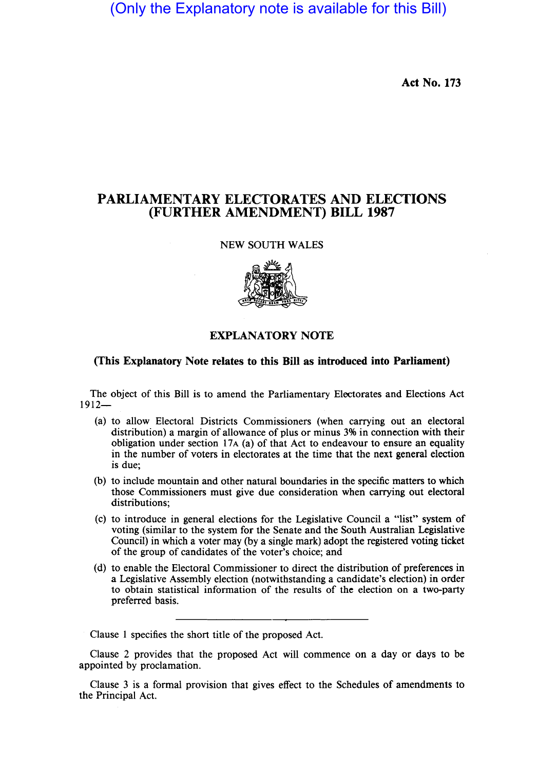(Only the Explanatory note is available for this Bill)

**Act** No. 173

# **PARLIAMENTARY ELECTORATES AND ELECTIONS (FURTHER AMENDMENT) BILL 1987**

### NEW SOUTH WALES



## **EXPLANATORY NOTE**

### **(This Explanatory Note relates to this Bill as introduced into Parliament)**

The object of this Bill is to amend the Parliamentary Electorates and Elections Act  $1912-$ 

- (a) to allow Electoral Districts Commissioners (when carrying out an electoral distribution) a margin of allowance of plus or minus 3% in connection with their obligation under section 17A (a) of that Act to endeavour to ensure an equality in the number of voters in electorates at the time that the next general election is due;
- (b) to include mountain and other natural boundaries in the specific matters to which those Commissioners must give due consideration when carrying out electoral distributions;
- (c) to introduce in general elections for the Legislative Council a "list" system of voting (similar to the system for the Senate and the South Australian Legislative Council) in which a voter may (by a single mark) adopt the registered voting ticket of the group of candidates of the voter's choice; and
- (d) to enable the Electoral Commissioner to direct the distribution of preferences in a Legislative Assembly election (notwithstanding a candidate's election) in order to obtain statistical information of the results of the election on a two-party preferred basis.

Clause 1 specifies the short title of the proposed Act.

Clause 2 provides that the proposed Act will commence on a day or days to be appointed by proclamation.

Clause 3 is a formal provision that gives effect to the Schedules of amendments to the Principal Act.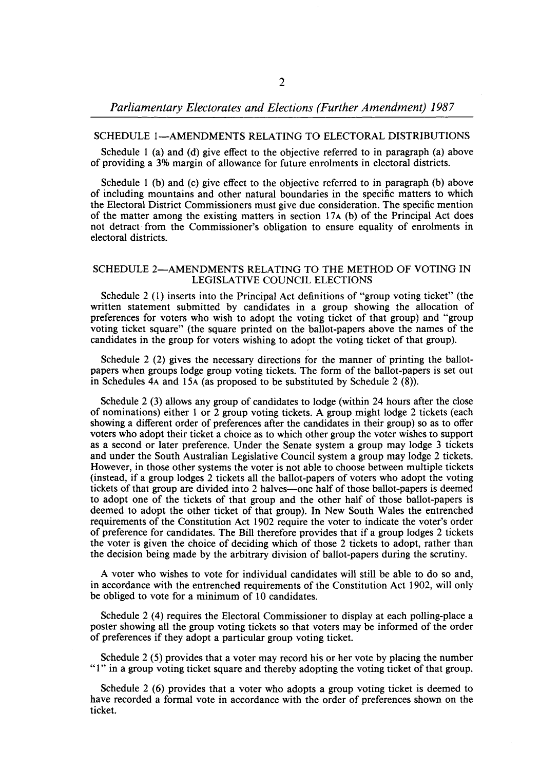*Parliamentary Electorates and Elections (Further Amendment) 1987* 

#### SCHEDULE 1-AMENDMENTS RELATING TO ELECTORAL DISTRIBUTIONS

Schedule I (a) and (d) give effect to the objective referred to in paragraph (a) above of providing a 3% margin of allowance for future enrolments in electoral districts.

Schedule I (b) and (c) give effect to the objective referred to in paragraph (b) above of including mountains and other natural boundaries in the specific matters to which the Electoral District Commissioners must give due consideration. The specific mention of the matter among the existing matters in section  $17A$  (b) of the Principal Act does not detract· from the Commissioner's obligation to ensure equality of enrolments in electoral districts.

#### SCHEDULE 2-AMENDMENTS RELATING TO THE METHOD OF VOTING IN LEGISLATIVE COUNCIL ELECTIONS

Schedule 2 (I) inserts into the Principal Act definitions of "group voting ticket" (the written statement submitted by candidates in a group showing the allocation of preferences for voters who wish to adopt the voting ticket of that group) and "group voting ticket square" (the square printed on the ballot-papers above the names of the candidates in the group for voters wishing to adopt the voting ticket of that group).

Schedule 2 (2) gives the necessary directions for the manner of printing the ballotpapers when groups lodge group voting tickets. The form of the ballot-papers is set out in Schedules 4A and 15A (as proposed to be substituted by Schedule 2 (8».

Schedule 2 (3) allows any group of candidates to lodge (within 24 hours after the close of nominations) either I or 2 group voting tickets. A group might lodge 2 tickets (each showing a different order of preferences after the candidates in their group) so as to offer voters who adopt their ticket a choice as to which other group the voter wishes to support as a second or later preference. Under the Senate system a group may lodge 3 tickets and under the South Australian Legislative Council system a group may lodge 2 tickets. However, in those other systems the voter is not able to choose between multiple tickets (instead, if a group lodges 2 tickets all the ballot-papers of voters who adopt the voting tickets of that group are divided into 2 halves-one half of those ballot-papers is deemed to adopt one of the tickets of that group and the other half of those ballot-papers is deemed to adopt the other ticket of that group). In New South Wales the entrenched requirements of the Constitution Act 1902 require the voter to indicate the voter's order of preference for candidates. The Bill therefore provides that if a group lodges 2 tickets the voter is given the choice of deciding which of those 2 tickets to adopt, rather than the decision being made by the arbitrary division of ballot-papers during the scrutiny.

A voter who wishes to vote for individual candidates will still be able to do so and, in accordance with the entrenched requirements of the Constitution Act 1902, will only be obliged to vote for a minimum of 10 candidates.

Schedule 2 (4) requires the Electoral Commissioner to display at each polling-place a poster showing all the group voting tickets so that voters may be informed of the order of preferences if they adopt a particular group voting ticket.

Schedule 2 (5) provides that a voter may record his or her vote by placing the number "I" in a group voting ticket square and thereby adopting the voting ticket of that group.

Schedule 2 (6) provides that a voter who adopts a group voting ticket is deemed to have recorded a formal vote in accordance with the order of preferences shown on the ticket.